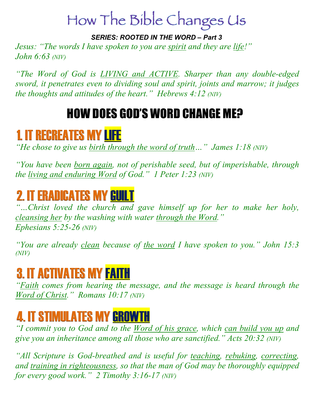# How The Bible Changes Us

*SERIES: ROOTED IN THE WORD – Part 3*

*Jesus: "The words I have spoken to you are spirit and they are life!" John 6:63 (NIV)*

*"The Word of God is LIVING and ACTIVE. Sharper than any double-edged sword, it penetrates even to dividing soul and spirit, joints and marrow; it judges the thoughts and attitudes of the heart." Hebrews 4:12 (NIV)*

#### HOW DOES GOD'S WORD CHANGE ME?

#### 1. IT RECREATES MY LIFE

*"He chose to give us birth through the word of truth…" James 1:18 (NIV)* 

*"You have been born again, not of perishable seed, but of imperishable, through the living and enduring Word of God." 1 Peter 1:23 (NIV)* 

## 2. IT ERADICATES MY GUILT

*"…Christ loved the church and gave himself up for her to make her holy, cleansing her by the washing with water through the Word." Ephesians 5:25-26 (NIV)* 

*"You are already clean because of the word I have spoken to you." John 15:3 (NIV)*

#### 3. IT ACTIVATES MY FAITH

*"Faith comes from hearing the message, and the message is heard through the Word of Christ." Romans 10:17 (NIV)* 

## 4. IT STIMULATES MY GROWTH

*"I commit you to God and to the Word of his grace, which can build you up and give you an inheritance among all those who are sanctified." Acts 20:32 (NIV)* 

*"All Scripture is God-breathed and is useful for teaching, rebuking, correcting, and training in righteousness, so that the man of God may be thoroughly equipped for every good work." 2 Timothy 3:16-17 (NIV)*